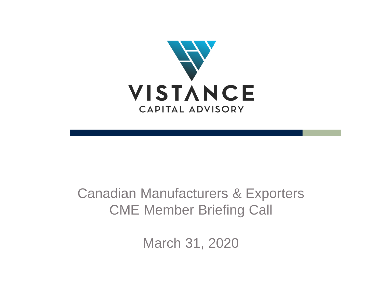

### Canadian Manufacturers & Exporters CME Member Briefing Call

March 31, 2020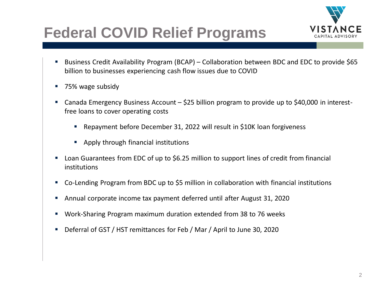

# **Federal COVID Relief Programs**

- Business Credit Availability Program (BCAP) Collaboration between BDC and EDC to provide \$65 billion to businesses experiencing cash flow issues due to COVID
- 75% wage subsidy
- Canada Emergency Business Account \$25 billion program to provide up to \$40,000 in interestfree loans to cover operating costs
	- Repayment before December 31, 2022 will result in \$10K loan forgiveness
	- Apply through financial institutions
- Loan Guarantees from EDC of up to \$6.25 million to support lines of credit from financial institutions
- Co-Lending Program from BDC up to \$5 million in collaboration with financial institutions
- Annual corporate income tax payment deferred until after August 31, 2020
- Work-Sharing Program maximum duration extended from 38 to 76 weeks
- Deferral of GST / HST remittances for Feb / Mar / April to June 30, 2020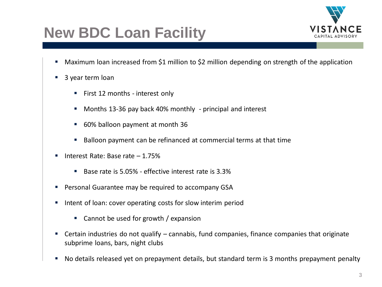# **New BDC Loan Facility**



- Maximum loan increased from \$1 million to \$2 million depending on strength of the application
- 3 year term loan
	- First 12 months interest only
	- Months 13-36 pay back 40% monthly principal and interest
	- 60% balloon payment at month 36
	- Balloon payment can be refinanced at commercial terms at that time
- Interest Rate: Base rate  $-1.75%$ 
	- Base rate is 5.05% effective interest rate is 3.3%
- Personal Guarantee may be required to accompany GSA
- Intent of loan: cover operating costs for slow interim period
	- Cannot be used for growth / expansion
- Certain industries do not qualify cannabis, fund companies, finance companies that originate subprime loans, bars, night clubs
- No details released yet on prepayment details, but standard term is 3 months prepayment penalty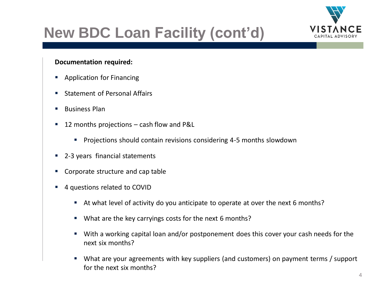

# **New BDC Loan Facility (cont'd)**

#### **Documentation required:**

- Application for Financing
- Statement of Personal Affairs
- Business Plan
- 12 months projections  $-$  cash flow and P&L
	- Projections should contain revisions considering 4-5 months slowdown
- 2-3 years financial statements
- Corporate structure and cap table
- 4 questions related to COVID
	- At what level of activity do you anticipate to operate at over the next 6 months?
	- What are the key carryings costs for the next 6 months?
	- With a working capital loan and/or postponement does this cover your cash needs for the next six months?
	- What are your agreements with key suppliers (and customers) on payment terms / support for the next six months?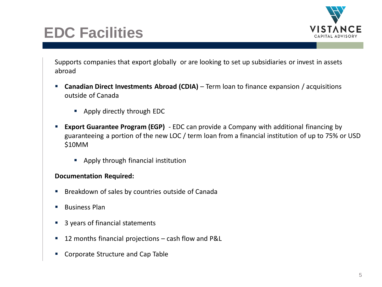

## **EDC Facilities**

Supports companies that export globally or are looking to set up subsidiaries or invest in assets abroad

- **E** Canadian Direct Investments Abroad (CDIA) Term loan to finance expansion / acquisitions outside of Canada
	- Apply directly through EDC
- **Export Guarantee Program (EGP)** EDC can provide a Company with additional financing by guaranteeing a portion of the new LOC / term loan from a financial institution of up to 75% or USD \$10MM
	- Apply through financial institution

#### **Documentation Required:**

- Breakdown of sales by countries outside of Canada
- Business Plan
- 3 years of financial statements
- 12 months financial projections cash flow and P&L
- Corporate Structure and Cap Table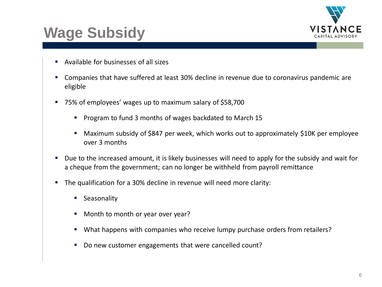

## **Wage Subsidy**

- Available for businesses of all sizes
- Companies that have suffered at least 30% decline in revenue due to coronavirus pandemic are eligible
- 75% of employees' wages up to maximum salary of \$58,700
	- Program to fund 3 months of wages backdated to March 15
	- Maximum subsidy of \$847 per week, which works out to approximately \$10K per employee over 3 months
- Due to the increased amount, it is likely businesses will need to apply for the subsidy and wait for a cheque from the government; can no longer be withheld from payroll remittance
- The qualification for a 30% decline in revenue will need more clarity:
	- Seasonality
	- Month to month or year over year?
	- What happens with companies who receive lumpy purchase orders from retailers?
	- Do new customer engagements that were cancelled count?